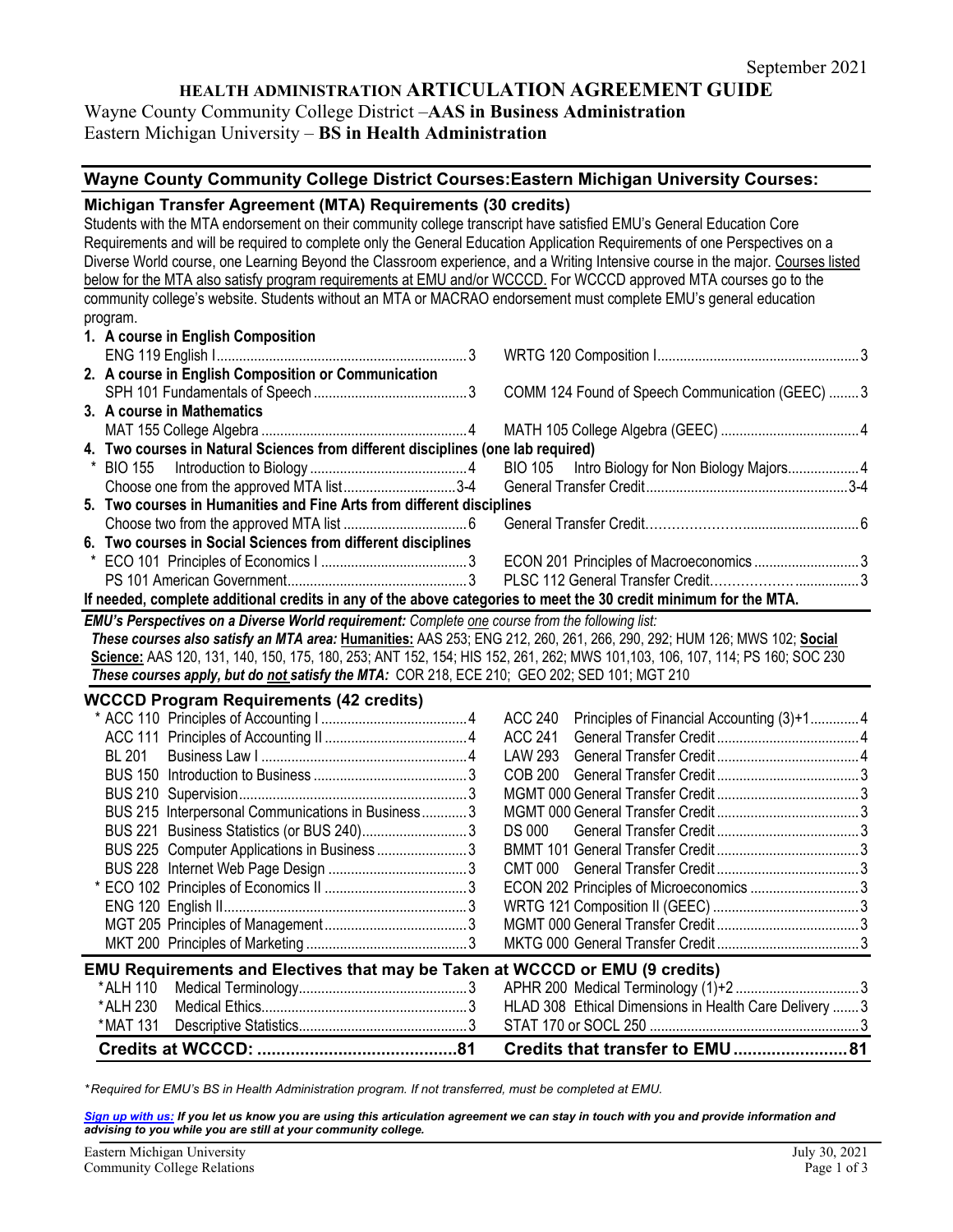# **HEALTH ADMINISTRATION ARTICULATION AGREEMENT GUIDE**

Wayne County Community College District –**AAS in Business Administration**  Eastern Michigan University – **BS in Health Administration**

# **Wayne County Community College District Courses:Eastern Michigan University Courses:**

#### **Michigan Transfer Agreement (MTA) Requirements (30 credits)**

Students with the MTA endorsement on their community college transcript have satisfied EMU's General Education Core Requirements and will be required to complete only the General Education Application Requirements of one Perspectives on a Diverse World course, one Learning Beyond the Classroom experience, and a Writing Intensive course in the major. Courses listed below for the MTA also satisfy program requirements at EMU and/or WCCCD. For WCCCD approved MTA courses go to the community college's website. Students without an MTA or MACRAO endorsement must complete EMU's general education program. **1. A course in English Composition**

| 1. A course in English Composition                                                                                            |                |                                                   |  |
|-------------------------------------------------------------------------------------------------------------------------------|----------------|---------------------------------------------------|--|
|                                                                                                                               |                |                                                   |  |
| 2. A course in English Composition or Communication                                                                           |                |                                                   |  |
|                                                                                                                               |                | COMM 124 Found of Speech Communication (GEEC)  3  |  |
| 3. A course in Mathematics                                                                                                    |                |                                                   |  |
|                                                                                                                               |                |                                                   |  |
| 4. Two courses in Natural Sciences from different disciplines (one lab required)                                              |                |                                                   |  |
|                                                                                                                               |                | BIO 105    Intro Biology for Non Biology Majors 4 |  |
| Choose one from the approved MTA list3-4                                                                                      |                |                                                   |  |
| 5. Two courses in Humanities and Fine Arts from different disciplines                                                         |                |                                                   |  |
|                                                                                                                               |                |                                                   |  |
| 6. Two courses in Social Sciences from different disciplines                                                                  |                |                                                   |  |
|                                                                                                                               |                |                                                   |  |
|                                                                                                                               |                |                                                   |  |
| If needed, complete additional credits in any of the above categories to meet the 30 credit minimum for the MTA.              |                |                                                   |  |
| EMU's Perspectives on a Diverse World requirement: Complete one course from the following list:                               |                |                                                   |  |
| These courses also satisfy an MTA area: Humanities: AAS 253; ENG 212, 260, 261, 266, 290, 292; HUM 126; MWS 102; Social       |                |                                                   |  |
| Science: AAS 120, 131, 140, 150, 175, 180, 253; ANT 152, 154; HIS 152, 261, 262; MWS 101, 103, 106, 107, 114; PS 160; SOC 230 |                |                                                   |  |
| These courses apply, but do not satisfy the MTA: COR 218, ECE 210; GEO 202; SED 101; MGT 210                                  |                |                                                   |  |
| <b>WCCCD Program Requirements (42 credits)</b>                                                                                |                |                                                   |  |
|                                                                                                                               | <b>ACC 240</b> | Principles of Financial Accounting (3)+1 4        |  |
|                                                                                                                               | <b>ACC 241</b> |                                                   |  |
| <b>BL 201</b>                                                                                                                 | LAW 293        |                                                   |  |
|                                                                                                                               | COB 200        |                                                   |  |
|                                                                                                                               |                |                                                   |  |
| BUS 215 Interpersonal Communications in Business3                                                                             |                |                                                   |  |
| BUS 221 Business Statistics (or BUS 240)3                                                                                     | <b>DS 000</b>  |                                                   |  |
|                                                                                                                               |                |                                                   |  |
| BUS 225 Computer Applications in Business 3                                                                                   |                |                                                   |  |
|                                                                                                                               |                |                                                   |  |
|                                                                                                                               |                |                                                   |  |
|                                                                                                                               |                |                                                   |  |
|                                                                                                                               |                |                                                   |  |
|                                                                                                                               |                |                                                   |  |

| <b>EMU Requirements and Electives that may be Taken at WCCCD or EMU (9 credits)</b> |  |  |  |  |  |  |  |  |
|-------------------------------------------------------------------------------------|--|--|--|--|--|--|--|--|

*\* Required for EMU's BS in Health Administration program. If not transferred, must be completed at EMU.* 

*[Sign up with us:](https://www.emich.edu/ccr/articulation-agreements/signup.php) If you let us know you are using this articulation agreement we can stay in touch with you and provide information and advising to you while you are still at your community college.*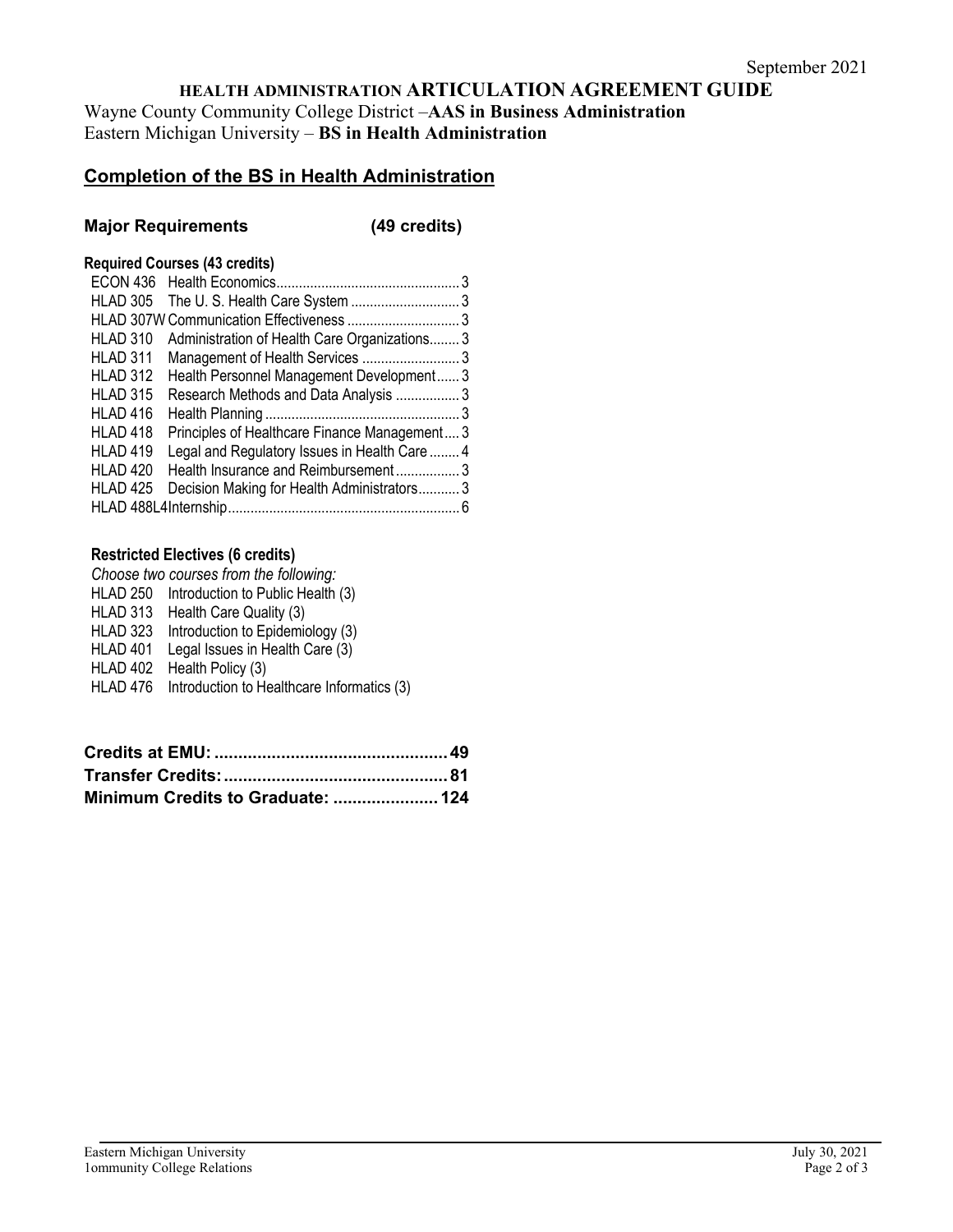# **HEALTH ADMINISTRATION ARTICULATION AGREEMENT GUIDE**

Wayne County Community College District –**AAS in Business Administration**  Eastern Michigan University – **BS in Health Administration**

# **Completion of the BS in Health Administration**

## **Major Requirements (49 credits)**

## **Required Courses (43 credits)**

| HLAD 305        |                                               |  |
|-----------------|-----------------------------------------------|--|
|                 |                                               |  |
| HLAD 310        | Administration of Health Care Organizations 3 |  |
| HLAD 311        |                                               |  |
| HLAD 312        | Health Personnel Management Development 3     |  |
| HLAD 315        | Research Methods and Data Analysis 3          |  |
| HLAD 416        |                                               |  |
| HLAD 418        | Principles of Healthcare Finance Management 3 |  |
| HLAD 419        | Legal and Regulatory Issues in Health Care  4 |  |
| HLAD 420        | Health Insurance and Reimbursement3           |  |
| <b>HLAD 425</b> | Decision Making for Health Administrators3    |  |
|                 |                                               |  |

## **Restricted Electives (6 credits)**

*Choose two courses from the following:* HLAD 250 Introduction to Public Health (3) HLAD 313 Health Care Quality (3) HLAD 323 Introduction to Epidemiology (3) HLAD 401 Legal Issues in Health Care (3) HLAD 402 Health Policy (3) HLAD 476 Introduction to Healthcare Informatics (3)

| Minimum Credits to Graduate:  124 |  |
|-----------------------------------|--|